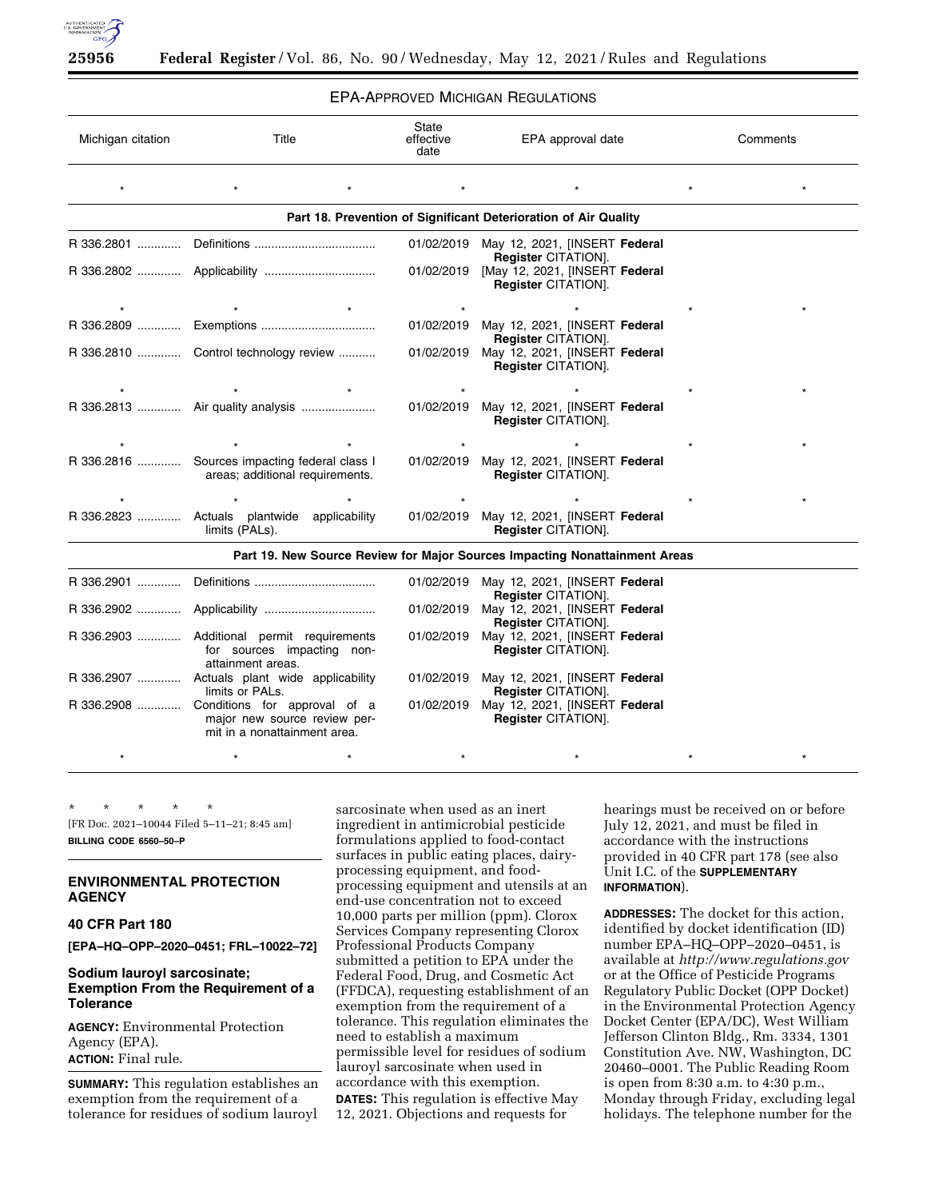

## EPA-APPROVED MICHIGAN REGULATIONS

| Michigan citation | Title                                                                                                    | State<br>effective<br>date | EPA approval date                                                          | Comments |  |
|-------------------|----------------------------------------------------------------------------------------------------------|----------------------------|----------------------------------------------------------------------------|----------|--|
|                   |                                                                                                          |                            |                                                                            |          |  |
|                   |                                                                                                          |                            | Part 18. Prevention of Significant Deterioration of Air Quality            |          |  |
|                   |                                                                                                          |                            | 01/02/2019 May 12, 2021, [INSERT Federal<br><b>Register CITATION].</b>     |          |  |
|                   |                                                                                                          |                            | 01/02/2019 [May 12, 2021, [INSERT Federal<br>Register CITATION].           |          |  |
|                   |                                                                                                          |                            |                                                                            |          |  |
|                   |                                                                                                          |                            | 01/02/2019 May 12, 2021, [INSERT Federal<br>Register CITATION].            |          |  |
|                   | R 336.2810  Control technology review                                                                    | 01/02/2019                 | May 12, 2021, [INSERT Federal<br><b>Register CITATION].</b>                |          |  |
|                   |                                                                                                          |                            |                                                                            |          |  |
|                   | R 336.2813  Air quality analysis                                                                         |                            | 01/02/2019 May 12, 2021, [INSERT Federal<br>Register CITATION].            |          |  |
|                   |                                                                                                          |                            |                                                                            |          |  |
|                   | R 336.2816  Sources impacting federal class I<br>areas; additional requirements.                         |                            | 01/02/2019 May 12, 2021, [INSERT Federal<br><b>Register CITATION].</b>     |          |  |
|                   |                                                                                                          |                            |                                                                            |          |  |
|                   | R 336.2823  Actuals plantwide applicability<br>limits (PALs).                                            |                            | 01/02/2019 May 12, 2021, [INSERT Federal<br><b>Register CITATION].</b>     |          |  |
|                   |                                                                                                          |                            | Part 19. New Source Review for Major Sources Impacting Nonattainment Areas |          |  |
|                   |                                                                                                          |                            | 01/02/2019 May 12, 2021, [INSERT Federal<br><b>Register CITATION].</b>     |          |  |
|                   |                                                                                                          |                            | 01/02/2019 May 12, 2021, [INSERT Federal<br>Register CITATION].            |          |  |
|                   | R 336.2903  Additional permit requirements<br>for sources impacting non-<br>attainment areas.            | 01/02/2019                 | May 12, 2021, [INSERT Federal<br><b>Register CITATION].</b>                |          |  |
|                   | R 336.2907  Actuals plant wide applicability<br>limits or PALs.                                          |                            | 01/02/2019 May 12, 2021, [INSERT Federal<br><b>Register CITATION].</b>     |          |  |
|                   | R 336.2908  Conditions for approval of a<br>major new source review per-<br>mit in a nonattainment area. | 01/02/2019                 | May 12, 2021, [INSERT Federal<br><b>Register CITATION].</b>                |          |  |
|                   |                                                                                                          |                            |                                                                            |          |  |

\* \* \* \* \* [FR Doc. 2021–10044 Filed 5–11–21; 8:45 am] **BILLING CODE 6560–50–P** 

# **ENVIRONMENTAL PROTECTION AGENCY**

**40 CFR Part 180** 

**[EPA–HQ–OPP–2020–0451; FRL–10022–72]** 

# **Sodium lauroyl sarcosinate; Exemption From the Requirement of a Tolerance**

**AGENCY:** Environmental Protection Agency (EPA). **ACTION:** Final rule.

**SUMMARY:** This regulation establishes an exemption from the requirement of a tolerance for residues of sodium lauroyl

sarcosinate when used as an inert ingredient in antimicrobial pesticide formulations applied to food-contact surfaces in public eating places, dairyprocessing equipment, and foodprocessing equipment and utensils at an end-use concentration not to exceed 10,000 parts per million (ppm). Clorox Services Company representing Clorox Professional Products Company submitted a petition to EPA under the Federal Food, Drug, and Cosmetic Act (FFDCA), requesting establishment of an exemption from the requirement of a tolerance. This regulation eliminates the need to establish a maximum permissible level for residues of sodium lauroyl sarcosinate when used in accordance with this exemption. **DATES:** This regulation is effective May 12, 2021. Objections and requests for

hearings must be received on or before July 12, 2021, and must be filed in accordance with the instructions provided in 40 CFR part 178 (see also Unit I.C. of the **SUPPLEMENTARY INFORMATION**).

**ADDRESSES:** The docket for this action, identified by docket identification (ID) number EPA–HQ–OPP–2020–0451, is available at *<http://www.regulations.gov>* or at the Office of Pesticide Programs Regulatory Public Docket (OPP Docket) in the Environmental Protection Agency Docket Center (EPA/DC), West William Jefferson Clinton Bldg., Rm. 3334, 1301 Constitution Ave. NW, Washington, DC 20460–0001. The Public Reading Room is open from 8:30 a.m. to 4:30 p.m., Monday through Friday, excluding legal holidays. The telephone number for the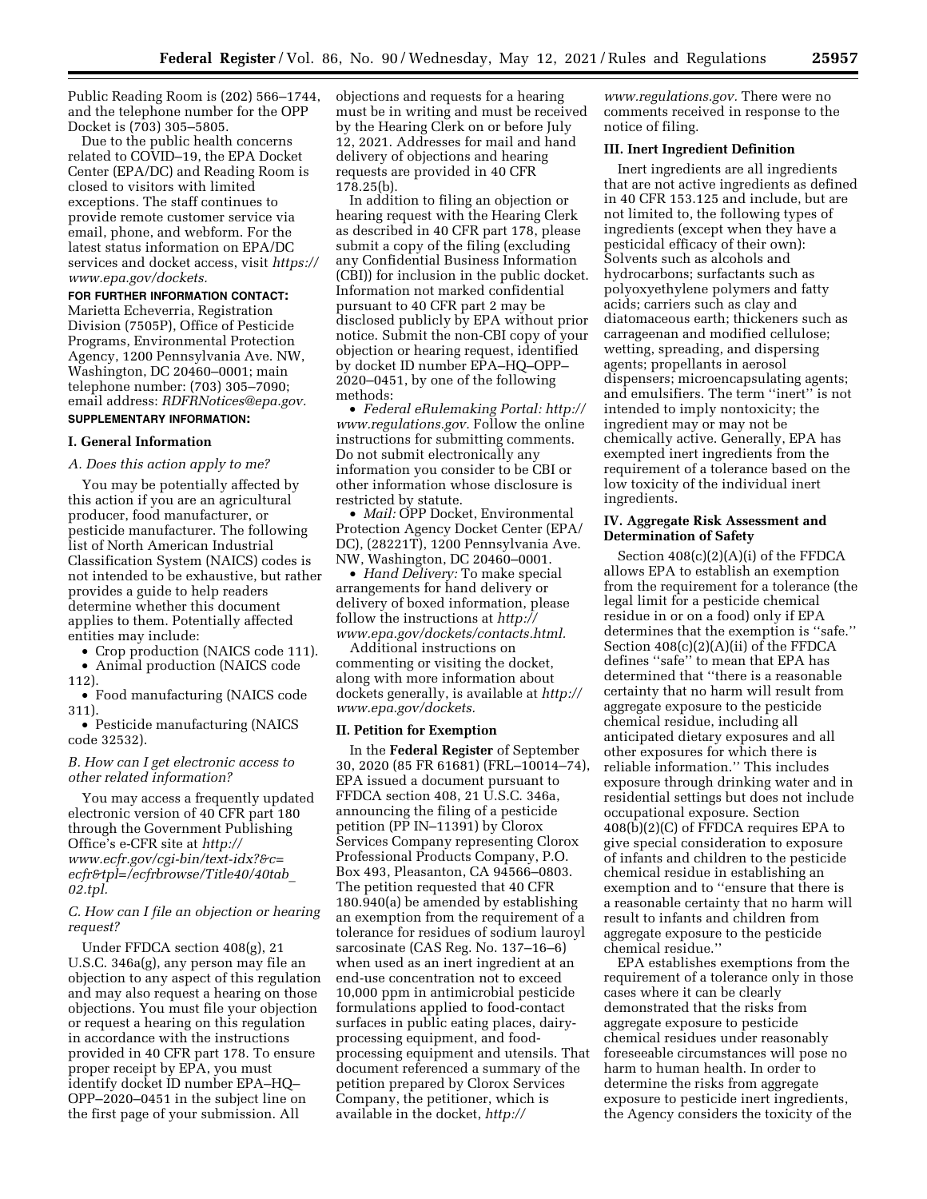Public Reading Room is (202) 566–1744, and the telephone number for the OPP Docket is (703) 305–5805.

Due to the public health concerns related to COVID–19, the EPA Docket Center (EPA/DC) and Reading Room is closed to visitors with limited exceptions. The staff continues to provide remote customer service via email, phone, and webform. For the latest status information on EPA/DC services and docket access, visit *[https://](https://www.epa.gov/dockets) [www.epa.gov/dockets.](https://www.epa.gov/dockets)* 

#### **FOR FURTHER INFORMATION CONTACT:**

Marietta Echeverria, Registration Division (7505P), Office of Pesticide Programs, Environmental Protection Agency, 1200 Pennsylvania Ave. NW, Washington, DC 20460–0001; main telephone number: (703) 305–7090; email address: *[RDFRNotices@epa.gov.](mailto:RDFRNotices@epa.gov)*  **SUPPLEMENTARY INFORMATION:** 

# **I. General Information**

#### *A. Does this action apply to me?*

You may be potentially affected by this action if you are an agricultural producer, food manufacturer, or pesticide manufacturer. The following list of North American Industrial Classification System (NAICS) codes is not intended to be exhaustive, but rather provides a guide to help readers determine whether this document applies to them. Potentially affected entities may include:

• Crop production (NAICS code 111).

• Animal production (NAICS code 112).

• Food manufacturing (NAICS code 311).

• Pesticide manufacturing (NAICS code 32532).

## *B. How can I get electronic access to other related information?*

You may access a frequently updated electronic version of 40 CFR part 180 through the Government Publishing Office's e-CFR site at *[http://](http://www.ecfr.gov/cgi-bin/text-idx?&c=ecfr&tpl=/ecfrbrowse/Title40/40tab_02.tpl) [www.ecfr.gov/cgi-bin/text-idx?&c=](http://www.ecfr.gov/cgi-bin/text-idx?&c=ecfr&tpl=/ecfrbrowse/Title40/40tab_02.tpl) [ecfr&tpl=/ecfrbrowse/Title40/40tab](http://www.ecfr.gov/cgi-bin/text-idx?&c=ecfr&tpl=/ecfrbrowse/Title40/40tab_02.tpl)*\_ *[02.tpl.](http://www.ecfr.gov/cgi-bin/text-idx?&c=ecfr&tpl=/ecfrbrowse/Title40/40tab_02.tpl)* 

# *C. How can I file an objection or hearing request?*

Under FFDCA section 408(g), 21 U.S.C. 346a(g), any person may file an objection to any aspect of this regulation and may also request a hearing on those objections. You must file your objection or request a hearing on this regulation in accordance with the instructions provided in 40 CFR part 178. To ensure proper receipt by EPA, you must identify docket ID number EPA–HQ– OPP–2020–0451 in the subject line on the first page of your submission. All

objections and requests for a hearing must be in writing and must be received by the Hearing Clerk on or before July 12, 2021. Addresses for mail and hand delivery of objections and hearing requests are provided in 40 CFR 178.25(b).

In addition to filing an objection or hearing request with the Hearing Clerk as described in 40 CFR part 178, please submit a copy of the filing (excluding any Confidential Business Information (CBI)) for inclusion in the public docket. Information not marked confidential pursuant to 40 CFR part 2 may be disclosed publicly by EPA without prior notice. Submit the non-CBI copy of your objection or hearing request, identified by docket ID number EPA–HQ–OPP– 2020–0451, by one of the following methods:

• *Federal eRulemaking Portal: [http://](http://www.regulations.gov)  [www.regulations.gov.](http://www.regulations.gov)* Follow the online instructions for submitting comments. Do not submit electronically any information you consider to be CBI or other information whose disclosure is restricted by statute.

• *Mail:* OPP Docket, Environmental Protection Agency Docket Center (EPA/ DC), (28221T), 1200 Pennsylvania Ave. NW, Washington, DC 20460–0001.

• *Hand Delivery:* To make special arrangements for hand delivery or delivery of boxed information, please follow the instructions at *[http://](http://www.epa.gov/dockets/contacts.html) [www.epa.gov/dockets/contacts.html.](http://www.epa.gov/dockets/contacts.html)* 

Additional instructions on commenting or visiting the docket, along with more information about dockets generally, is available at *[http://](http://www.epa.gov/dockets) [www.epa.gov/dockets.](http://www.epa.gov/dockets)* 

## **II. Petition for Exemption**

In the **Federal Register** of September 30, 2020 (85 FR 61681) (FRL–10014–74), EPA issued a document pursuant to FFDCA section 408, 21 U.S.C. 346a, announcing the filing of a pesticide petition (PP IN–11391) by Clorox Services Company representing Clorox Professional Products Company, P.O. Box 493, Pleasanton, CA 94566–0803. The petition requested that 40 CFR 180.940(a) be amended by establishing an exemption from the requirement of a tolerance for residues of sodium lauroyl sarcosinate (CAS Reg. No. 137–16–6) when used as an inert ingredient at an end-use concentration not to exceed 10,000 ppm in antimicrobial pesticide formulations applied to food-contact surfaces in public eating places, dairyprocessing equipment, and foodprocessing equipment and utensils. That document referenced a summary of the petition prepared by Clorox Services Company, the petitioner, which is available in the docket, *[http://](http://www.regulations.gov)*

*[www.regulations.gov.](http://www.regulations.gov)* There were no comments received in response to the notice of filing.

## **III. Inert Ingredient Definition**

Inert ingredients are all ingredients that are not active ingredients as defined in 40 CFR 153.125 and include, but are not limited to, the following types of ingredients (except when they have a pesticidal efficacy of their own): Solvents such as alcohols and hydrocarbons; surfactants such as polyoxyethylene polymers and fatty acids; carriers such as clay and diatomaceous earth; thickeners such as carrageenan and modified cellulose; wetting, spreading, and dispersing agents; propellants in aerosol dispensers; microencapsulating agents; and emulsifiers. The term ''inert'' is not intended to imply nontoxicity; the ingredient may or may not be chemically active. Generally, EPA has exempted inert ingredients from the requirement of a tolerance based on the low toxicity of the individual inert ingredients.

#### **IV. Aggregate Risk Assessment and Determination of Safety**

Section 408(c)(2)(A)(i) of the FFDCA allows EPA to establish an exemption from the requirement for a tolerance (the legal limit for a pesticide chemical residue in or on a food) only if EPA determines that the exemption is ''safe.'' Section 408(c)(2)(A)(ii) of the FFDCA defines ''safe'' to mean that EPA has determined that ''there is a reasonable certainty that no harm will result from aggregate exposure to the pesticide chemical residue, including all anticipated dietary exposures and all other exposures for which there is reliable information.'' This includes exposure through drinking water and in residential settings but does not include occupational exposure. Section 408(b)(2)(C) of FFDCA requires EPA to give special consideration to exposure of infants and children to the pesticide chemical residue in establishing an exemption and to ''ensure that there is a reasonable certainty that no harm will result to infants and children from aggregate exposure to the pesticide chemical residue.''

EPA establishes exemptions from the requirement of a tolerance only in those cases where it can be clearly demonstrated that the risks from aggregate exposure to pesticide chemical residues under reasonably foreseeable circumstances will pose no harm to human health. In order to determine the risks from aggregate exposure to pesticide inert ingredients, the Agency considers the toxicity of the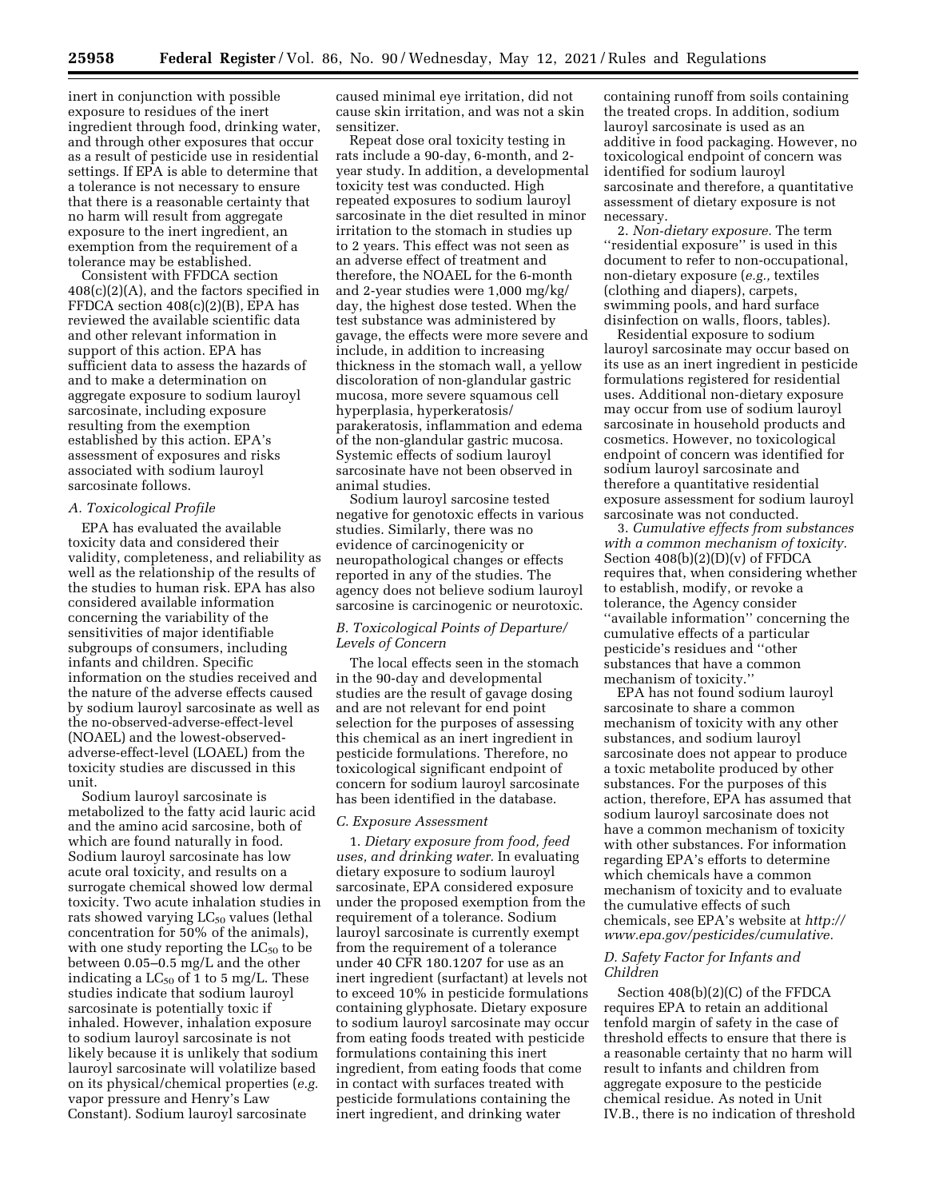inert in conjunction with possible exposure to residues of the inert ingredient through food, drinking water, and through other exposures that occur as a result of pesticide use in residential settings. If EPA is able to determine that a tolerance is not necessary to ensure that there is a reasonable certainty that no harm will result from aggregate exposure to the inert ingredient, an exemption from the requirement of a tolerance may be established.

Consistent with FFDCA section 408(c)(2)(A), and the factors specified in FFDCA section 408(c)(2)(B), EPA has reviewed the available scientific data and other relevant information in support of this action. EPA has sufficient data to assess the hazards of and to make a determination on aggregate exposure to sodium lauroyl sarcosinate, including exposure resulting from the exemption established by this action. EPA's assessment of exposures and risks associated with sodium lauroyl sarcosinate follows.

#### *A. Toxicological Profile*

EPA has evaluated the available toxicity data and considered their validity, completeness, and reliability as well as the relationship of the results of the studies to human risk. EPA has also considered available information concerning the variability of the sensitivities of major identifiable subgroups of consumers, including infants and children. Specific information on the studies received and the nature of the adverse effects caused by sodium lauroyl sarcosinate as well as the no-observed-adverse-effect-level (NOAEL) and the lowest-observedadverse-effect-level (LOAEL) from the toxicity studies are discussed in this unit.

Sodium lauroyl sarcosinate is metabolized to the fatty acid lauric acid and the amino acid sarcosine, both of which are found naturally in food. Sodium lauroyl sarcosinate has low acute oral toxicity, and results on a surrogate chemical showed low dermal toxicity. Two acute inhalation studies in rats showed varying  $LC_{50}$  values (lethal concentration for 50% of the animals), with one study reporting the  $LC_{50}$  to be between 0.05–0.5 mg/L and the other indicating a  $LC_{50}$  of 1 to 5 mg/L. These studies indicate that sodium lauroyl sarcosinate is potentially toxic if inhaled. However, inhalation exposure to sodium lauroyl sarcosinate is not likely because it is unlikely that sodium lauroyl sarcosinate will volatilize based on its physical/chemical properties (*e.g.*  vapor pressure and Henry's Law Constant). Sodium lauroyl sarcosinate

caused minimal eye irritation, did not cause skin irritation, and was not a skin sensitizer.

Repeat dose oral toxicity testing in rats include a 90-day, 6-month, and 2 year study. In addition, a developmental toxicity test was conducted. High repeated exposures to sodium lauroyl sarcosinate in the diet resulted in minor irritation to the stomach in studies up to 2 years. This effect was not seen as an adverse effect of treatment and therefore, the NOAEL for the 6-month and 2-year studies were 1,000 mg/kg/ day, the highest dose tested. When the test substance was administered by gavage, the effects were more severe and include, in addition to increasing thickness in the stomach wall, a yellow discoloration of non-glandular gastric mucosa, more severe squamous cell hyperplasia, hyperkeratosis/ parakeratosis, inflammation and edema of the non-glandular gastric mucosa. Systemic effects of sodium lauroyl sarcosinate have not been observed in animal studies.

Sodium lauroyl sarcosine tested negative for genotoxic effects in various studies. Similarly, there was no evidence of carcinogenicity or neuropathological changes or effects reported in any of the studies. The agency does not believe sodium lauroyl sarcosine is carcinogenic or neurotoxic.

## *B. Toxicological Points of Departure/ Levels of Concern*

The local effects seen in the stomach in the 90-day and developmental studies are the result of gavage dosing and are not relevant for end point selection for the purposes of assessing this chemical as an inert ingredient in pesticide formulations. Therefore, no toxicological significant endpoint of concern for sodium lauroyl sarcosinate has been identified in the database.

## *C. Exposure Assessment*

1. *Dietary exposure from food, feed uses, and drinking water.* In evaluating dietary exposure to sodium lauroyl sarcosinate, EPA considered exposure under the proposed exemption from the requirement of a tolerance. Sodium lauroyl sarcosinate is currently exempt from the requirement of a tolerance under 40 CFR 180.1207 for use as an inert ingredient (surfactant) at levels not to exceed 10% in pesticide formulations containing glyphosate. Dietary exposure to sodium lauroyl sarcosinate may occur from eating foods treated with pesticide formulations containing this inert ingredient, from eating foods that come in contact with surfaces treated with pesticide formulations containing the inert ingredient, and drinking water

containing runoff from soils containing the treated crops. In addition, sodium lauroyl sarcosinate is used as an additive in food packaging. However, no toxicological endpoint of concern was identified for sodium lauroyl sarcosinate and therefore, a quantitative assessment of dietary exposure is not necessary.

2. *Non-dietary exposure.* The term ''residential exposure'' is used in this document to refer to non-occupational, non-dietary exposure (*e.g.,* textiles (clothing and diapers), carpets, swimming pools, and hard surface disinfection on walls, floors, tables).

Residential exposure to sodium lauroyl sarcosinate may occur based on its use as an inert ingredient in pesticide formulations registered for residential uses. Additional non-dietary exposure may occur from use of sodium lauroyl sarcosinate in household products and cosmetics. However, no toxicological endpoint of concern was identified for sodium lauroyl sarcosinate and therefore a quantitative residential exposure assessment for sodium lauroyl sarcosinate was not conducted.

3. *Cumulative effects from substances with a common mechanism of toxicity.*  Section 408(b)(2)(D)(v) of FFDCA requires that, when considering whether to establish, modify, or revoke a tolerance, the Agency consider ''available information'' concerning the cumulative effects of a particular pesticide's residues and ''other substances that have a common mechanism of toxicity.

EPA has not found sodium lauroyl sarcosinate to share a common mechanism of toxicity with any other substances, and sodium lauroyl sarcosinate does not appear to produce a toxic metabolite produced by other substances. For the purposes of this action, therefore, EPA has assumed that sodium lauroyl sarcosinate does not have a common mechanism of toxicity with other substances. For information regarding EPA's efforts to determine which chemicals have a common mechanism of toxicity and to evaluate the cumulative effects of such chemicals, see EPA's website at *[http://](http://www.epa.gov/pesticides/cumulative) [www.epa.gov/pesticides/cumulative.](http://www.epa.gov/pesticides/cumulative)* 

## *D. Safety Factor for Infants and Children*

Section 408(b)(2)(C) of the FFDCA requires EPA to retain an additional tenfold margin of safety in the case of threshold effects to ensure that there is a reasonable certainty that no harm will result to infants and children from aggregate exposure to the pesticide chemical residue. As noted in Unit IV.B., there is no indication of threshold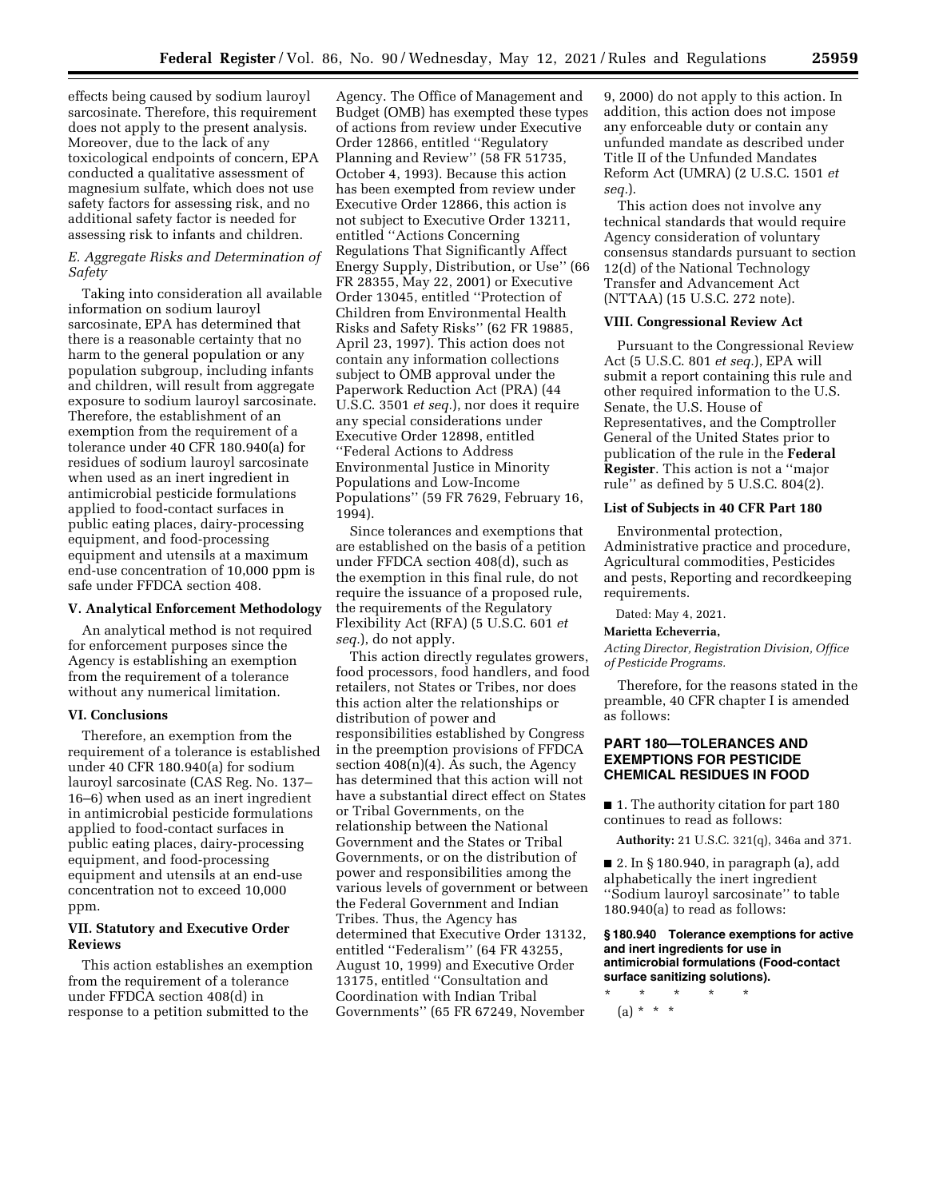effects being caused by sodium lauroyl sarcosinate. Therefore, this requirement does not apply to the present analysis. Moreover, due to the lack of any toxicological endpoints of concern, EPA conducted a qualitative assessment of magnesium sulfate, which does not use safety factors for assessing risk, and no additional safety factor is needed for assessing risk to infants and children.

## *E. Aggregate Risks and Determination of Safety*

Taking into consideration all available information on sodium lauroyl sarcosinate, EPA has determined that there is a reasonable certainty that no harm to the general population or any population subgroup, including infants and children, will result from aggregate exposure to sodium lauroyl sarcosinate. Therefore, the establishment of an exemption from the requirement of a tolerance under 40 CFR 180.940(a) for residues of sodium lauroyl sarcosinate when used as an inert ingredient in antimicrobial pesticide formulations applied to food-contact surfaces in public eating places, dairy-processing equipment, and food-processing equipment and utensils at a maximum end-use concentration of 10,000 ppm is safe under FFDCA section 408.

#### **V. Analytical Enforcement Methodology**

An analytical method is not required for enforcement purposes since the Agency is establishing an exemption from the requirement of a tolerance without any numerical limitation.

#### **VI. Conclusions**

Therefore, an exemption from the requirement of a tolerance is established under 40 CFR 180.940(a) for sodium lauroyl sarcosinate (CAS Reg. No. 137– 16–6) when used as an inert ingredient in antimicrobial pesticide formulations applied to food-contact surfaces in public eating places, dairy-processing equipment, and food-processing equipment and utensils at an end-use concentration not to exceed 10,000 ppm.

### **VII. Statutory and Executive Order Reviews**

This action establishes an exemption from the requirement of a tolerance under FFDCA section 408(d) in response to a petition submitted to the

Agency. The Office of Management and Budget (OMB) has exempted these types of actions from review under Executive Order 12866, entitled ''Regulatory Planning and Review'' (58 FR 51735, October 4, 1993). Because this action has been exempted from review under Executive Order 12866, this action is not subject to Executive Order 13211, entitled ''Actions Concerning Regulations That Significantly Affect Energy Supply, Distribution, or Use'' (66 FR 28355, May 22, 2001) or Executive Order 13045, entitled ''Protection of Children from Environmental Health Risks and Safety Risks'' (62 FR 19885, April 23, 1997). This action does not contain any information collections subject to OMB approval under the Paperwork Reduction Act (PRA) (44 U.S.C. 3501 *et seq.*), nor does it require any special considerations under Executive Order 12898, entitled ''Federal Actions to Address Environmental Justice in Minority Populations and Low-Income Populations'' (59 FR 7629, February 16, 1994).

Since tolerances and exemptions that are established on the basis of a petition under FFDCA section 408(d), such as the exemption in this final rule, do not require the issuance of a proposed rule, the requirements of the Regulatory Flexibility Act (RFA) (5 U.S.C. 601 *et seq.*), do not apply.

This action directly regulates growers, food processors, food handlers, and food retailers, not States or Tribes, nor does this action alter the relationships or distribution of power and responsibilities established by Congress in the preemption provisions of FFDCA section  $408(n)(4)$ . As such, the Agency has determined that this action will not have a substantial direct effect on States or Tribal Governments, on the relationship between the National Government and the States or Tribal Governments, or on the distribution of power and responsibilities among the various levels of government or between the Federal Government and Indian Tribes. Thus, the Agency has determined that Executive Order 13132, entitled ''Federalism'' (64 FR 43255, August 10, 1999) and Executive Order 13175, entitled ''Consultation and Coordination with Indian Tribal Governments'' (65 FR 67249, November

9, 2000) do not apply to this action. In addition, this action does not impose any enforceable duty or contain any unfunded mandate as described under Title II of the Unfunded Mandates Reform Act (UMRA) (2 U.S.C. 1501 *et seq.*).

This action does not involve any technical standards that would require Agency consideration of voluntary consensus standards pursuant to section 12(d) of the National Technology Transfer and Advancement Act (NTTAA) (15 U.S.C. 272 note).

## **VIII. Congressional Review Act**

Pursuant to the Congressional Review Act (5 U.S.C. 801 *et seq.*), EPA will submit a report containing this rule and other required information to the U.S. Senate, the U.S. House of Representatives, and the Comptroller General of the United States prior to publication of the rule in the **Federal Register**. This action is not a ''major rule'' as defined by 5 U.S.C. 804(2).

#### **List of Subjects in 40 CFR Part 180**

Environmental protection, Administrative practice and procedure, Agricultural commodities, Pesticides and pests, Reporting and recordkeeping requirements.

Dated: May 4, 2021.

## **Marietta Echeverria,**

*Acting Director, Registration Division, Office of Pesticide Programs.* 

Therefore, for the reasons stated in the preamble, 40 CFR chapter I is amended as follows:

# **PART 180—TOLERANCES AND EXEMPTIONS FOR PESTICIDE CHEMICAL RESIDUES IN FOOD**

■ 1. The authority citation for part 180 continues to read as follows:

**Authority:** 21 U.S.C. 321(q), 346a and 371.

■ 2. In § 180.940, in paragraph (a), add alphabetically the inert ingredient ''Sodium lauroyl sarcosinate'' to table 180.940(a) to read as follows:

#### **§ 180.940 Tolerance exemptions for active and inert ingredients for use in antimicrobial formulations (Food-contact surface sanitizing solutions).**

\* \* \* \* \*

 $(a) * * * *$